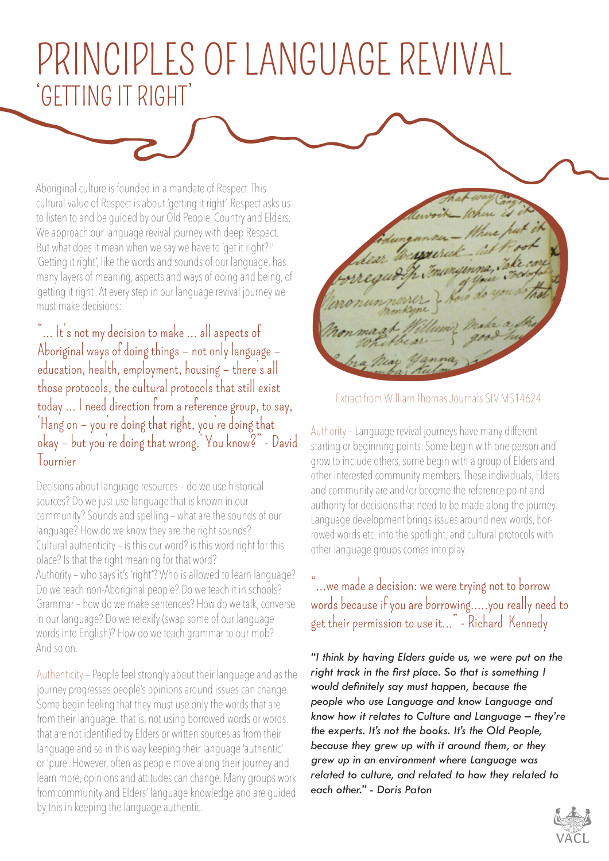## PRINCIPLES OF LANGUAGE REVIVAL 'GETTING IT RIGHT'

Aboriginal culture is founded in a mandate of Respect. This cultural value of Respect is about 'getting it right'. Respect asks us to listen to and be guided by our Old People, Country and Elders. We approach our language revival journey with deep Respect. But what does it mean when we say we have to 'get it right?!' 'Getting it right', like the words and sounds of our language, has many layers of meaning, aspects and ways of doing and being, of 'getting it right'. At every step in our language revival journey we must make decisions:

"… It's not my decision to make … all aspects of Aboriginal ways of doing things – not only language – education, health, employment, housing – there's all those protocols, the cultural protocols that still exist today … I need direction from a reference group, to say, 'Hang on – you're doing that right, you're doing that okay – but you're doing that wrong.' You know?" - David Tournier

Decisions about language resources – do we use historical sources? Do we just use language that is known in our community? Sounds and spelling – what are the sounds of our language? How do we know they are the right sounds? Cultural authenticity – is this our word? is this word right for this place? Is that the right meaning for that word? Authority – who says it's 'right'? Who is allowed to learn language? Do we teach non-Aboriginal people? Do we teach it in schools? Grammar – how do we make sentences? How do we talk, converse in our language? Do we relexify (swap some of our language words into English)? How do we teach grammar to our mob? And so on.

Authenticity – People feel strongly about their language and as the journey progresses people's opinions around issues can change. Some begin feeling that they must use only the words that are from their language: that is, not using borrowed words or words that are not identified by Elders or written sources as from their language and so in this way keeping their language 'authentic' or 'pure'. However, often as people move along their journey and learn more, opinions and attitudes can change. Many groups work from community and Elders' language knowledge and are guided by this in keeping the language authentic.

Extract from William Thomas Journals SLV MS14624

Authority – Language revival journeys have many different starting or beginning points. Some begin with one person and grow to include others, some begin with a group of Elders and other interested community members. These individuals, Elders and community are and/or become the reference point and authority for decisions that need to be made along the journey. Language development brings issues around new words, borrowed words etc. into the spotlight, and cultural protocols with other language groups comes into play.

## "…we made a decision: we were trying not to borrow words because if you are borrowing…..you really need to get their permission to use it…" - Richard Kennedy

*"I think by having Elders guide us, we were put on the right track in the first place. So that is something I would definitely say must happen, because the people who use Language and know Language and know how it relates to Culture and Language – they're the experts. It's not the books. It's the Old People, because they grew up with it around them, or they grew up in an environment where Language was related to culture, and related to how they related to each other." - Doris Paton*